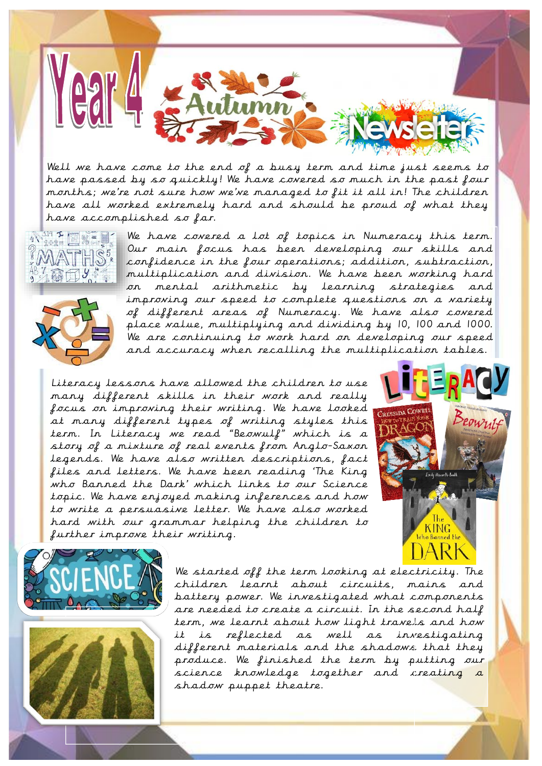

Well we have come to the end of a busy term and time just seems to have passed by so quickly! We have covered so much in the past four months; we're not sure how we've managed to fit it all in! The children have all worked extremely hard and should be proud of what they have accomplished so far.





We have covered a lot of topics in Numeracy this term. Our main focus has been developing our skills and confidence in the four operations; addition, subtraction, multiplication and division. We have been working hard on mental arithmetic by learning strategies and improving our speed to complete questions on a variety of different areas of Numeracy. We have also covered place value, multiplying and dividing by 10, 100 and 1000. We are continuing to work hard on developing our speed and accuracy when recalling the multiplication tables.

Literacy lessons have allowed the children to use many different skills in their work and really focus on improving their writing. We have looked at many different types of writing styles this term. In Literacy we read "Beowulf" which is a story of a mixture of real events from Anglo-Saxon legends. We have also written descriptions, fact files and letters. We have been reading 'The King who Banned the Dark' which links to our Science topic. We have enjoyed making inferences and how to write a persuasive letter. We have also worked hard with our grammar helping the children to further improve their writing.







We started off the term looking at electricity. The children learnt about circuits, mains and battery power. We investigated what components are needed to create a circuit. In the second half term, we learnt about how light travels and how it is reflected as well as investigating different materials and the shadows that they produce. We finished the term by putting our science knowledge together and creating a shadow puppet theatre.